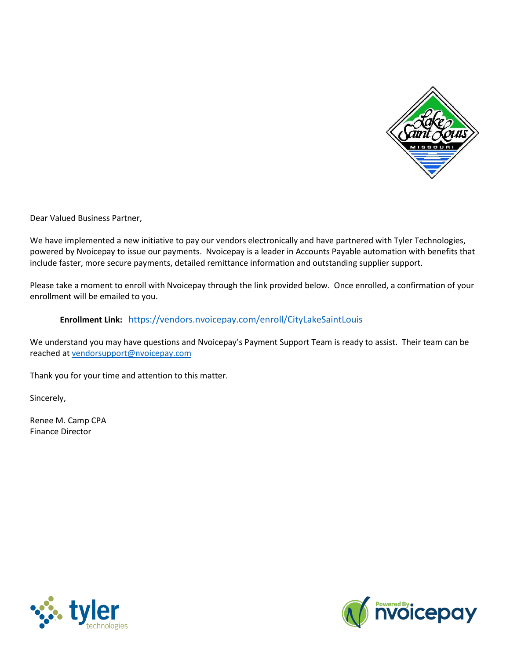

Dear Valued Business Partner,

We have implemented a new initiative to pay our vendors electronically and have partnered with Tyler Technologies, powered by Nvoicepay to issue our payments. Nvoicepay is a leader in Accounts Payable automation with benefits that include faster, more secure payments, detailed remittance information and outstanding supplier support.

Please take a moment to enroll with Nvoicepay through the link provided below. Once enrolled, a confirmation of your enrollment will be emailed to you.

#### **Enrollment Link:** [https://vendors.nvoicepay.com/enroll/CityLakeSaintLouis](https://us-west-2.protection.sophos.com/?d=nvoicepay.com&u=aHR0cHM6Ly92ZW5kb3JzLm52b2ljZXBheS5jb20vZW5yb2xsL0NpdHlMYWtlU2FpbnRMb3Vpcw==&i=NTkwNzVjZmJiM2I1ZDAxNGUxN2JjY2Iw&t=K2ovRHNJVUhkNGFYSENoancrRi9jMTd3aFZWRXhBNk56anZHdFBhZHNFMD0=&h=d59be2b8ca9b4af694db69dd680e186b)

We understand you may have questions and Nvoicepay's Payment Support Team is ready to assist. Their team can be reached at [vendorsupport@nvoicepay.com](mailto:vendorsupport@nvoicepay.com)

Thank you for your time and attention to this matter.

Sincerely,

Renee M. Camp CPA Finance Director



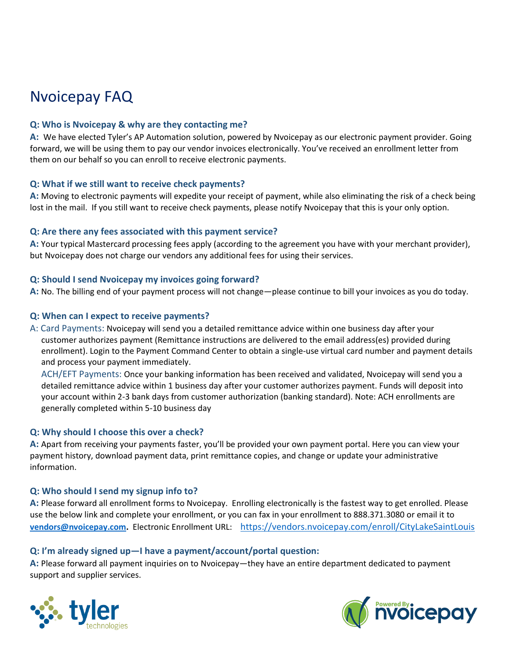# Nvoicepay FAQ

## **Q: Who is Nvoicepay & why are they contacting me?**

**A:** We have elected Tyler's AP Automation solution, powered by Nvoicepay as our electronic payment provider. Going forward, we will be using them to pay our vendor invoices electronically. You've received an enrollment letter from them on our behalf so you can enroll to receive electronic payments.

## **Q: What if we still want to receive check payments?**

**A:** Moving to electronic payments will expedite your receipt of payment, while also eliminating the risk of a check being lost in the mail. If you still want to receive check payments, please notify Nvoicepay that this is your only option.

## **Q: Are there any fees associated with this payment service?**

**A:** Your typical Mastercard processing fees apply (according to the agreement you have with your merchant provider), but Nvoicepay does not charge our vendors any additional fees for using their services.

## **Q: Should I send Nvoicepay my invoices going forward?**

**A:** No. The billing end of your payment process will not change—please continue to bill your invoices as you do today.

## **Q: When can I expect to receive payments?**

A: Card Payments: Nvoicepay will send you a detailed remittance advice within one business day after your customer authorizes payment (Remittance instructions are delivered to the email address(es) provided during enrollment). Login to the Payment Command Center to obtain a single-use virtual card number and payment details and process your payment immediately.

ACH/EFT Payments: Once your banking information has been received and validated, Nvoicepay will send you a detailed remittance advice within 1 business day after your customer authorizes payment. Funds will deposit into your account within 2-3 bank days from customer authorization (banking standard). Note: ACH enrollments are generally completed within 5-10 business day

## **Q: Why should I choose this over a check?**

**A:** Apart from receiving your payments faster, you'll be provided your own payment portal. Here you can view your payment history, download payment data, print remittance copies, and change or update your administrative information.

## **Q: Who should I send my signup info to?**

**A:** Please forward all enrollment forms to Nvoicepay. Enrolling electronically is the fastest way to get enrolled. Please use the below link and complete your enrollment, or you can fax in your enrollment to 888.371.3080 or email it to **[vendors@nvoicepay.com.](mailto:vendors@nvoicepay.com)** Electronic Enrollment URL: [https://vendors.nvoicepay.com/enroll/CityLakeSaintLouis](https://us-west-2.protection.sophos.com/?d=nvoicepay.com&u=aHR0cHM6Ly92ZW5kb3JzLm52b2ljZXBheS5jb20vZW5yb2xsL0NpdHlMYWtlU2FpbnRMb3Vpcw==&i=NTkwNzVjZmJiM2I1ZDAxNGUxN2JjY2Iw&t=K2ovRHNJVUhkNGFYSENoancrRi9jMTd3aFZWRXhBNk56anZHdFBhZHNFMD0=&h=d59be2b8ca9b4af694db69dd680e186b)

## **Q: I'm already signed up—I have a payment/account/portal question:**

**A:** Please forward all payment inquiries on to Nvoicepay—they have an entire department dedicated to payment support and supplier services.